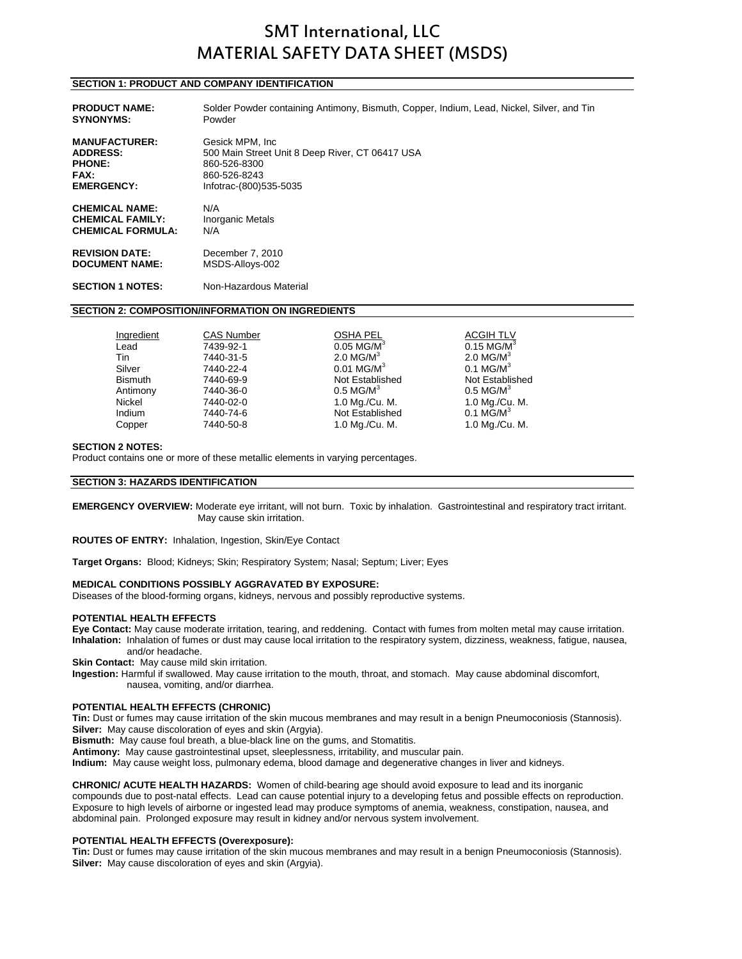# SMT International, LLC MATERIAL SAFETY DATA SHEET (MSDS)

# **SECTION 1: PRODUCT AND COMPANY IDENTIFICATION**

| <b>PRODUCT NAME:</b>     | Solder Powder containing Antimony, Bismuth, Copper, Indium, Lead, Nickel, Silver, and Tin |
|--------------------------|-------------------------------------------------------------------------------------------|
| <b>SYNONYMS:</b>         | Powder                                                                                    |
| <b>MANUFACTURER:</b>     | Gesick MPM, Inc.                                                                          |
| <b>ADDRESS:</b>          | 500 Main Street Unit 8 Deep River, CT 06417 USA                                           |
| <b>PHONE:</b>            | 860-526-8300                                                                              |
| <b>FAX:</b>              | 860-526-8243                                                                              |
| <b>EMERGENCY:</b>        | Infotrac-(800)535-5035                                                                    |
| <b>CHEMICAL NAME:</b>    | N/A                                                                                       |
| <b>CHEMICAL FAMILY:</b>  | <b>Inorganic Metals</b>                                                                   |
| <b>CHEMICAL FORMULA:</b> | N/A                                                                                       |
| <b>REVISION DATE:</b>    | December 7, 2010                                                                          |
| <b>DOCUMENT NAME:</b>    | MSDS-Alloys-002                                                                           |

# **SECTION 1 NOTES:** Non-Hazardous Material

#### **SECTION 2: COMPOSITION/INFORMATION ON INGREDIENTS**

| Ingredient     | <b>CAS Number</b> | <b>OSHA PEL</b>          | <b>ACGIH TLV</b>         |
|----------------|-------------------|--------------------------|--------------------------|
| Lead           | 7439-92-1         | $0.05$ MG/M <sup>3</sup> | $0.15$ MG/M <sup>3</sup> |
| Tin            | 7440-31-5         | $2.0$ MG/M <sup>3</sup>  | $2.0$ MG/M <sup>3</sup>  |
| Silver         | 7440-22-4         | $0.01$ MG/M <sup>3</sup> | $0.1$ MG/M <sup>3</sup>  |
| <b>Bismuth</b> | 7440-69-9         | Not Established          | Not Established          |
| Antimony       | 7440-36-0         | $0.5$ MG/M <sup>3</sup>  | $0.5$ MG/M <sup>3</sup>  |
| Nickel         | 7440-02-0         | 1.0 Mg./Cu. M.           | 1.0 Mg./Cu. M.           |
| Indium         | 7440-74-6         | Not Established          | $0.1$ MG/M <sup>3</sup>  |
| Copper         | 7440-50-8         | 1.0 Mg./Cu. M.           | 1.0 Mg./Cu. M.           |

#### **SECTION 2 NOTES:**

Product contains one or more of these metallic elements in varying percentages.

### **SECTION 3: HAZARDS IDENTIFICATION**

**EMERGENCY OVERVIEW:** Moderate eye irritant, will not burn. Toxic by inhalation. Gastrointestinal and respiratory tract irritant. May cause skin irritation.

**ROUTES OF ENTRY:** Inhalation, Ingestion, Skin/Eye Contact

**Target Organs:** Blood; Kidneys; Skin; Respiratory System; Nasal; Septum; Liver; Eyes

#### **MEDICAL CONDITIONS POSSIBLY AGGRAVATED BY EXPOSURE:**

Diseases of the blood-forming organs, kidneys, nervous and possibly reproductive systems.

### **POTENTIAL HEALTH EFFECTS**

**Eye Contact:** May cause moderate irritation, tearing, and reddening. Contact with fumes from molten metal may cause irritation. **Inhalation:** Inhalation of fumes or dust may cause local irritation to the respiratory system, dizziness, weakness, fatigue, nausea, and/or headache.

**Skin Contact:** May cause mild skin irritation.

**Ingestion:** Harmful if swallowed. May cause irritation to the mouth, throat, and stomach. May cause abdominal discomfort, nausea, vomiting, and/or diarrhea.

# **POTENTIAL HEALTH EFFECTS (CHRONIC)**

**Tin:** Dust or fumes may cause irritation of the skin mucous membranes and may result in a benign Pneumoconiosis (Stannosis). **Silver:** May cause discoloration of eyes and skin (Argyia).

**Bismuth:** May cause foul breath, a blue-black line on the gums, and Stomatitis.

**Antimony:** May cause gastrointestinal upset, sleeplessness, irritability, and muscular pain.

**Indium:** May cause weight loss, pulmonary edema, blood damage and degenerative changes in liver and kidneys.

**CHRONIC/ ACUTE HEALTH HAZARDS:** Women of child-bearing age should avoid exposure to lead and its inorganic compounds due to post-natal effects. Lead can cause potential injury to a developing fetus and possible effects on reproduction. Exposure to high levels of airborne or ingested lead may produce symptoms of anemia, weakness, constipation, nausea, and abdominal pain. Prolonged exposure may result in kidney and/or nervous system involvement.

### **POTENTIAL HEALTH EFFECTS (Overexposure):**

**Tin:** Dust or fumes may cause irritation of the skin mucous membranes and may result in a benign Pneumoconiosis (Stannosis). **Silver:** May cause discoloration of eyes and skin (Argyia).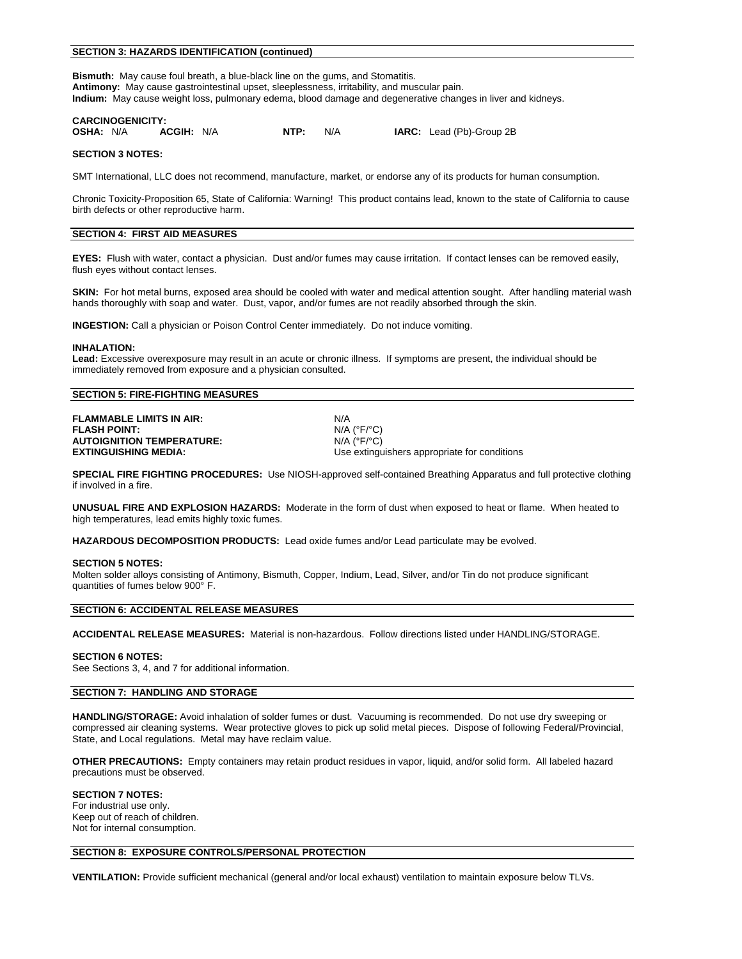# **SECTION 3: HAZARDS IDENTIFICATION (continued)**

**Bismuth:** May cause foul breath, a blue-black line on the gums, and Stomatitis. **Antimony:** May cause gastrointestinal upset, sleeplessness, irritability, and muscular pain. **Indium:** May cause weight loss, pulmonary edema, blood damage and degenerative changes in liver and kidneys.

# **CARCINOGENICITY:**<br>**OSHA:** N/A **ACGIH:** N/A

**NTP:**  $N/A$  **IARC:** Lead (Pb)-Group 2B

# **SECTION 3 NOTES:**

SMT International, LLC does not recommend, manufacture, market, or endorse any of its products for human consumption.

Chronic Toxicity-Proposition 65, State of California: Warning! This product contains lead, known to the state of California to cause birth defects or other reproductive harm.

# **SECTION 4: FIRST AID MEASURES**

**EYES:** Flush with water, contact a physician. Dust and/or fumes may cause irritation. If contact lenses can be removed easily, flush eyes without contact lenses.

**SKIN:** For hot metal burns, exposed area should be cooled with water and medical attention sought. After handling material wash hands thoroughly with soap and water. Dust, vapor, and/or fumes are not readily absorbed through the skin.

**INGESTION:** Call a physician or Poison Control Center immediately. Do not induce vomiting.

### **INHALATION:**

**Lead:** Excessive overexposure may result in an acute or chronic illness. If symptoms are present, the individual should be immediately removed from exposure and a physician consulted.

# **SECTION 5: FIRE-FIGHTING MEASURES**

**FLAMMABLE LIMITS IN AIR:** N/A **FLASH POINT:** N/A (°F/°C) **AUTOIGNITION TEMPERATURE:** 

**EXTINGUISHING MEDIA:** Use extinguishers appropriate for conditions

**SPECIAL FIRE FIGHTING PROCEDURES:** Use NIOSH-approved self-contained Breathing Apparatus and full protective clothing if involved in a fire.

**UNUSUAL FIRE AND EXPLOSION HAZARDS:** Moderate in the form of dust when exposed to heat or flame. When heated to high temperatures, lead emits highly toxic fumes.

**HAZARDOUS DECOMPOSITION PRODUCTS:** Lead oxide fumes and/or Lead particulate may be evolved.

### **SECTION 5 NOTES:**

Molten solder alloys consisting of Antimony, Bismuth, Copper, Indium, Lead, Silver, and/or Tin do not produce significant quantities of fumes below 900° F.

### **SECTION 6: ACCIDENTAL RELEASE MEASURES**

**ACCIDENTAL RELEASE MEASURES:** Material is non-hazardous. Follow directions listed under HANDLING/STORAGE.

### **SECTION 6 NOTES:**

See Sections 3, 4, and 7 for additional information.

# **SECTION 7: HANDLING AND STORAGE**

**HANDLING/STORAGE:** Avoid inhalation of solder fumes or dust. Vacuuming is recommended. Do not use dry sweeping or compressed air cleaning systems. Wear protective gloves to pick up solid metal pieces. Dispose of following Federal/Provincial, State, and Local regulations. Metal may have reclaim value.

**OTHER PRECAUTIONS:** Empty containers may retain product residues in vapor, liquid, and/or solid form. All labeled hazard precautions must be observed.

### **SECTION 7 NOTES:**

For industrial use only. Keep out of reach of children. Not for internal consumption.

# **SECTION 8: EXPOSURE CONTROLS/PERSONAL PROTECTION**

**VENTILATION:** Provide sufficient mechanical (general and/or local exhaust) ventilation to maintain exposure below TLVs.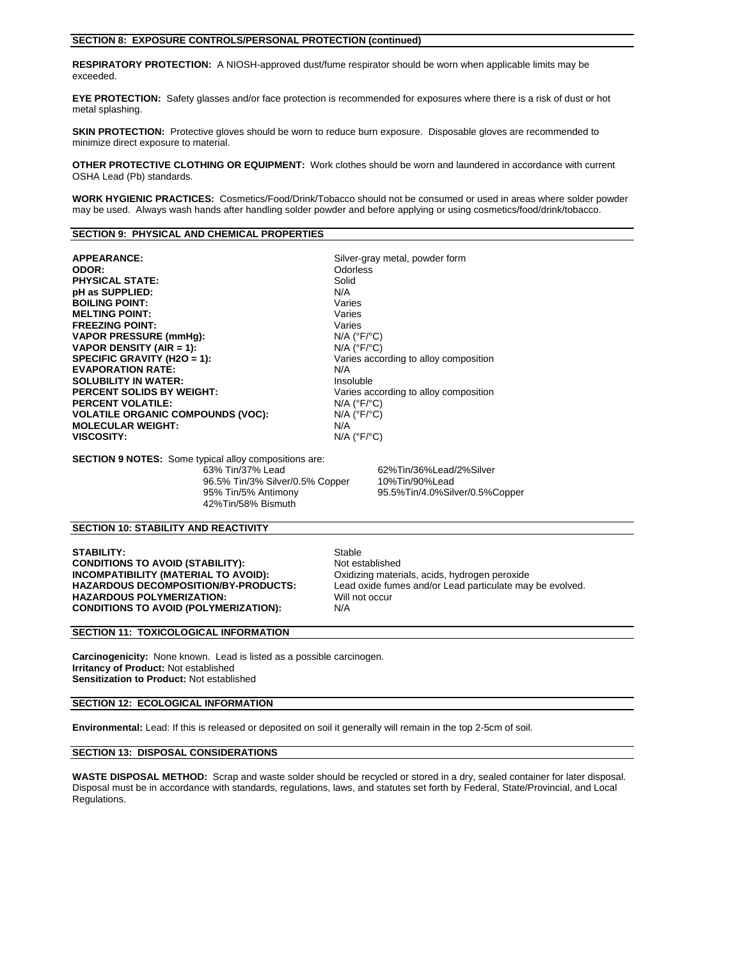#### **SECTION 8: EXPOSURE CONTROLS/PERSONAL PROTECTION (continued)**

**RESPIRATORY PROTECTION:** A NIOSH-approved dust/fume respirator should be worn when applicable limits may be exceeded.

**EYE PROTECTION:** Safety glasses and/or face protection is recommended for exposures where there is a risk of dust or hot metal splashing.

**SKIN PROTECTION:** Protective gloves should be worn to reduce burn exposure. Disposable gloves are recommended to minimize direct exposure to material.

**OTHER PROTECTIVE CLOTHING OR EQUIPMENT:** Work clothes should be worn and laundered in accordance with current OSHA Lead (Pb) standards.

**WORK HYGIENIC PRACTICES:** Cosmetics/Food/Drink/Tobacco should not be consumed or used in areas where solder powder may be used. Always wash hands after handling solder powder and before applying or using cosmetics/food/drink/tobacco.

# **SECTION 9: PHYSICAL AND CHEMICAL PROPERTIES**

**APPEARANCE:** Silver-gray metal, powder form **ODOR: ODOR: ODOR: ODOR: ODOR: ODOR: ODOR: ODOR: ODOR: ODOR: ODOR: ODOR: ODOR: ODOR: ODOR: ODOR: ODOR: ODOR: ODOR: ODOR: ODOR: ODOR: ODOR: ODOR: ODOR: ODOR: ODOR: ODOR: PHYSICAL STATE:** Solid<br> **pH** as SUPPLIED:  $N/A$ **pH as SUPPLIED: BOILING POINT:** Varies **MELTING POINT:** Varies **FREEZING POINT:** Varies **VAPOR PRESSURE (mmHg): VAPOR DENSITY (AIR = 1):** N/A (°F/°C) **EVAPORATION RATE:** N/A **SOLUBILITY IN WATER: PERCENT SOLIDS BY WEIGHT: Varies according to alloy composition PERCENT VOLATILE:** N/A (°F/°C) **VOLATILE ORGANIC COMPOUNDS (VOC):** N/A (°F/°C) **MOLECULAR WEIGHT: VISCOSITY:** N/A (°F/°C)

Varies according to alloy composition

**SECTION 9 NOTES:** Some typical alloy compositions are: 63% Tin/37% Lead 62%Tin/36%Lead/2%Silver 96.5% Tin/3% Silver/0.5% Copper 10%Tin/90%Lead 42%Tin/58% Bismuth

95% Tin/5% Antimony 95.5%Tin/4.0%Silver/0.5%Copper

# **SECTION 10: STABILITY AND REACTIVITY**

**STABILITY:** Stable **CONDITIONS TO AVOID (STABILITY):** Stable **Busic CONDITIONS TO AVOID (STABILITY): CONDITIONS TO AVOID (STABILITY): INCOMPATIBILITY (MATERIAL TO AVOID):** Oxidizing materials, acids, hydrogen peroxide<br> **HAZARDOUS DECOMPOSITION/BY-PRODUCTS:** Lead oxide fumes and/or Lead particulate may **HAZARDOUS POLYMERIZATION:** Will not occur<br> **CONDITIONS TO AVOID (POLYMERIZATION):** N/A **CONDITIONS TO AVOID (POLYMERIZATION):** 

Lead oxide fumes and/or Lead particulate may be evolved.

#### **SECTION 11: TOXICOLOGICAL INFORMATION**

**Carcinogenicity:** None known. Lead is listed as a possible carcinogen. **Irritancy of Product:** Not established **Sensitization to Product:** Not established

# **SECTION 12: ECOLOGICAL INFORMATION**

**Environmental:** Lead: If this is released or deposited on soil it generally will remain in the top 2-5cm of soil.

# **SECTION 13: DISPOSAL CONSIDERATIONS**

**WASTE DISPOSAL METHOD:** Scrap and waste solder should be recycled or stored in a dry, sealed container for later disposal. Disposal must be in accordance with standards, regulations, laws, and statutes set forth by Federal, State/Provincial, and Local Regulations.